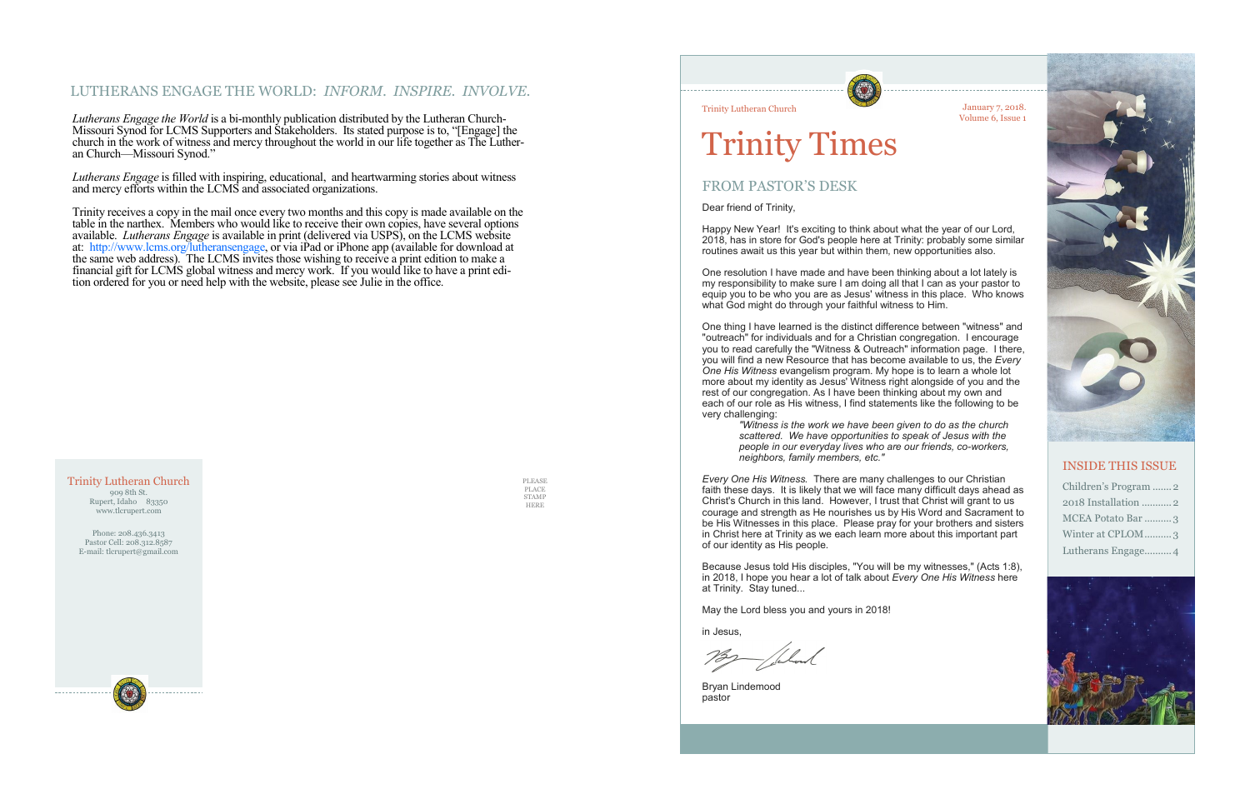## LUTHERANS ENGAGE THE WORLD: *INFORM. INSPIRE. INVOLVE.*

*Lutherans Engage the World* is a bi-monthly publication distributed by the Lutheran Church-Missouri Synod for LCMS Supporters and Stakeholders. Its stated purpose is to, "[Engage] the church in the work of witness and mercy throughout the world in our life together as The Lutheran Church—Missouri Synod."

*Lutherans Engage* is filled with inspiring, educational, and heartwarming stories about witness and mercy efforts within the LCMS and associated organizations.

Trinity receives a copy in the mail once every two months and this copy is made available on the table in the narthex. Members who would like to receive their own copies, have several options available. *Lutherans Engage* is available in print (delivered via USPS), on the LCMS website at: http://www.lcms.org/lutheransengage, or via iPad or iPhone app (available for download at the same web address). The LCMS invites those wishing to receive a print edition to make a financial gift for LCMS global witness and mercy work. If you would like to have a print edition ordered for you or need help with the website, please see Julie in the office.

One resolution I have made and have been thinking about a lot lately is my responsibility to make sure I am doing all that I can as your pastor to equip you to be who you are as Jesus' witness in this place. Who knows what God might do through your faithful witness to Him.

PLEASE PLACE STAMP HERE



### Trinity Lutheran Church 909 8th St. Rupert, Idaho 83350 www.tlcrupert.com

Phone: 208.436.3413 Pastor Cell: 208.312.8587 E-mail: tlcrupert@gmail.com

January 7, 2018. Volume 6, Issue 1



Trinity Lutheran Church

# Trinity Times

## FROM PASTOR'S DESK

Dear friend of Trinity,

Happy New Year! It's exciting to think about what the year of our Lord, 2018, has in store for God's people here at Trinity: probably some similar routines await us this year but within them, new opportunities also.

One thing I have learned is the distinct difference between "witness" and "outreach" for individuals and for a Christian congregation. I encourage you to read carefully the "Witness & Outreach" information page. I there, you will find a new Resource that has become available to us, the *Every One His Witness* evangelism program. My hope is to learn a whole lot more about my identity as Jesus' Witness right alongside of you and the rest of our congregation. As I have been thinking about my own and each of our role as His witness, I find statements like the following to be very challenging:

> *"Witness is the work we have been given to do as the church scattered. We have opportunities to speak of Jesus with the people in our everyday lives who are our friends, co-workers, neighbors, family members, etc."*

*Every One His Witness.* There are many challenges to our Christian faith these days. It is likely that we will face many difficult days ahead as Christ's Church in this land. However, I trust that Christ will grant to us courage and strength as He nourishes us by His Word and Sacrament to be His Witnesses in this place. Please pray for your brothers and sisters in Christ here at Trinity as we each learn more about this important part of our identity as His people.

Because Jesus told His disciples, "You will be my witnesses," (Acts 1:8), in 2018, I hope you hear a lot of talk about *Every One His Witness* here at Trinity. Stay tuned...

May the Lord bless you and yours in 2018!

in Jesus,

Bryan Lindemood pastor



## INSIDE THIS ISSUE

| Children's Program  2 |
|-----------------------|
| 2018 Installation 2   |
| MCEA Potato Bar 3     |
| Winter at CPLOM3      |
| Lutherans Engage 4    |